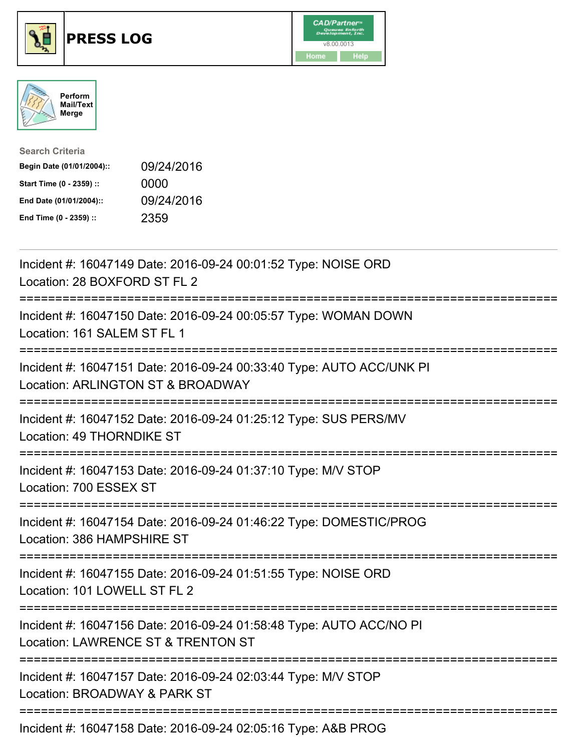





| <b>Search Criteria</b>    |            |
|---------------------------|------------|
| Begin Date (01/01/2004):: | 09/24/2016 |
| Start Time (0 - 2359) ::  | 0000       |
| End Date (01/01/2004)::   | 09/24/2016 |
| End Time (0 - 2359) ::    | 2359       |

| Incident #: 16047149 Date: 2016-09-24 00:01:52 Type: NOISE ORD<br>Location: 28 BOXFORD ST FL 2                                             |
|--------------------------------------------------------------------------------------------------------------------------------------------|
| Incident #: 16047150 Date: 2016-09-24 00:05:57 Type: WOMAN DOWN<br>Location: 161 SALEM ST FL 1                                             |
| Incident #: 16047151 Date: 2016-09-24 00:33:40 Type: AUTO ACC/UNK PI<br>Location: ARLINGTON ST & BROADWAY                                  |
| Incident #: 16047152 Date: 2016-09-24 01:25:12 Type: SUS PERS/MV<br>Location: 49 THORNDIKE ST                                              |
| Incident #: 16047153 Date: 2016-09-24 01:37:10 Type: M/V STOP<br>Location: 700 ESSEX ST<br>=====================================           |
| Incident #: 16047154 Date: 2016-09-24 01:46:22 Type: DOMESTIC/PROG<br>Location: 386 HAMPSHIRE ST<br>:===================================== |
| Incident #: 16047155 Date: 2016-09-24 01:51:55 Type: NOISE ORD<br>Location: 101 LOWELL ST FL 2                                             |
| Incident #: 16047156 Date: 2016-09-24 01:58:48 Type: AUTO ACC/NO PI<br>Location: LAWRENCE ST & TRENTON ST                                  |
| Incident #: 16047157 Date: 2016-09-24 02:03:44 Type: M/V STOP<br>Location: BROADWAY & PARK ST                                              |
| Incident #: 16047158 Date: 2016-09-24 02:05:16 Type: A&B PROG                                                                              |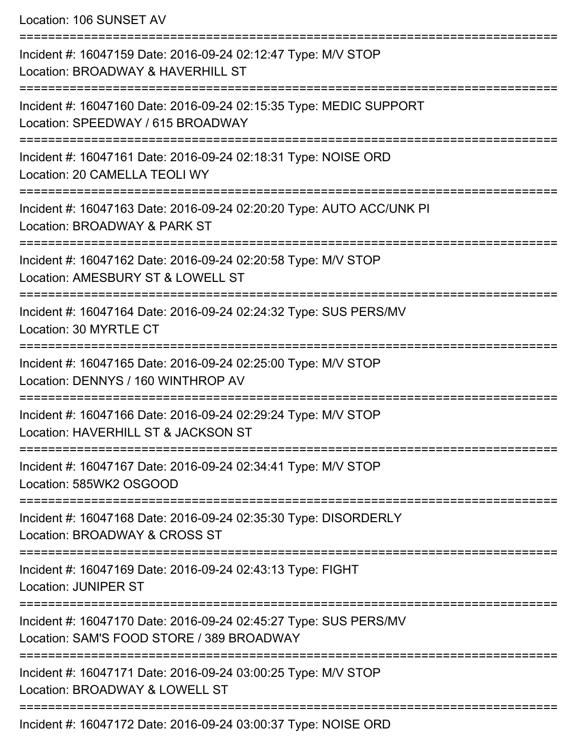Location: 106 SUNSET AV

| Incident #: 16047159 Date: 2016-09-24 02:12:47 Type: M/V STOP<br>Location: BROADWAY & HAVERHILL ST            |
|---------------------------------------------------------------------------------------------------------------|
| Incident #: 16047160 Date: 2016-09-24 02:15:35 Type: MEDIC SUPPORT<br>Location: SPEEDWAY / 615 BROADWAY       |
| Incident #: 16047161 Date: 2016-09-24 02:18:31 Type: NOISE ORD<br>Location: 20 CAMELLA TEOLI WY               |
| Incident #: 16047163 Date: 2016-09-24 02:20:20 Type: AUTO ACC/UNK PI<br>Location: BROADWAY & PARK ST          |
| Incident #: 16047162 Date: 2016-09-24 02:20:58 Type: M/V STOP<br>Location: AMESBURY ST & LOWELL ST            |
| Incident #: 16047164 Date: 2016-09-24 02:24:32 Type: SUS PERS/MV<br>Location: 30 MYRTLE CT                    |
| Incident #: 16047165 Date: 2016-09-24 02:25:00 Type: M/V STOP<br>Location: DENNYS / 160 WINTHROP AV           |
| Incident #: 16047166 Date: 2016-09-24 02:29:24 Type: M/V STOP<br>Location: HAVERHILL ST & JACKSON ST          |
| Incident #: 16047167 Date: 2016-09-24 02:34:41 Type: M/V STOP<br>Location: 585WK2 OSGOOD                      |
| Incident #: 16047168 Date: 2016-09-24 02:35:30 Type: DISORDERLY<br>Location: BROADWAY & CROSS ST              |
| Incident #: 16047169 Date: 2016-09-24 02:43:13 Type: FIGHT<br><b>Location: JUNIPER ST</b>                     |
| Incident #: 16047170 Date: 2016-09-24 02:45:27 Type: SUS PERS/MV<br>Location: SAM'S FOOD STORE / 389 BROADWAY |
| Incident #: 16047171 Date: 2016-09-24 03:00:25 Type: M/V STOP<br>Location: BROADWAY & LOWELL ST               |
| Incident #: 16047172 Date: 2016-09-24 03:00:37 Type: NOISE ORD                                                |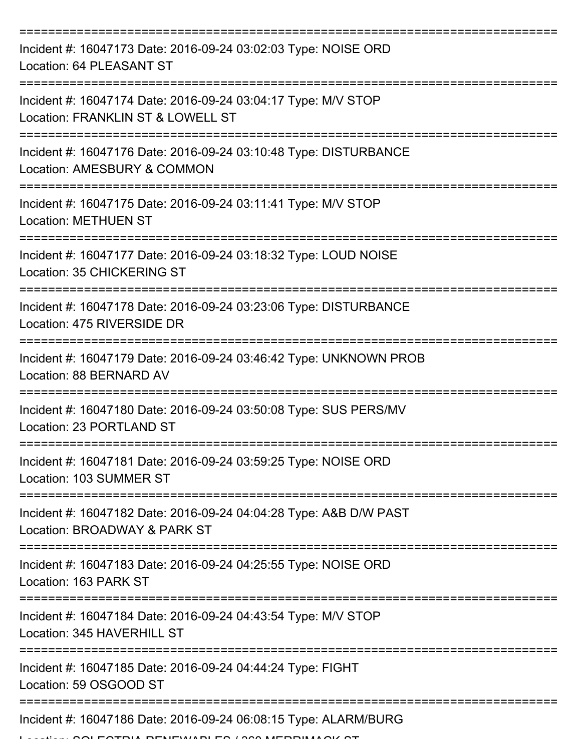| Incident #: 16047173 Date: 2016-09-24 03:02:03 Type: NOISE ORD<br>Location: 64 PLEASANT ST                |
|-----------------------------------------------------------------------------------------------------------|
| Incident #: 16047174 Date: 2016-09-24 03:04:17 Type: M/V STOP<br>Location: FRANKLIN ST & LOWELL ST        |
| Incident #: 16047176 Date: 2016-09-24 03:10:48 Type: DISTURBANCE<br>Location: AMESBURY & COMMON           |
| Incident #: 16047175 Date: 2016-09-24 03:11:41 Type: M/V STOP<br><b>Location: METHUEN ST</b>              |
| Incident #: 16047177 Date: 2016-09-24 03:18:32 Type: LOUD NOISE<br>Location: 35 CHICKERING ST             |
| Incident #: 16047178 Date: 2016-09-24 03:23:06 Type: DISTURBANCE<br>Location: 475 RIVERSIDE DR            |
| Incident #: 16047179 Date: 2016-09-24 03:46:42 Type: UNKNOWN PROB<br>Location: 88 BERNARD AV              |
| Incident #: 16047180 Date: 2016-09-24 03:50:08 Type: SUS PERS/MV<br>Location: 23 PORTLAND ST              |
| Incident #: 16047181 Date: 2016-09-24 03:59:25 Type: NOISE ORD<br>Location: 103 SUMMER ST                 |
| Incident #: 16047182 Date: 2016-09-24 04:04:28 Type: A&B D/W PAST<br>Location: BROADWAY & PARK ST         |
| Incident #: 16047183 Date: 2016-09-24 04:25:55 Type: NOISE ORD<br>Location: 163 PARK ST                   |
| Incident #: 16047184 Date: 2016-09-24 04:43:54 Type: M/V STOP<br>Location: 345 HAVERHILL ST               |
| Incident #: 16047185 Date: 2016-09-24 04:44:24 Type: FIGHT<br>Location: 59 OSGOOD ST                      |
| Incident #: 16047186 Date: 2016-09-24 06:08:15 Type: ALARM/BURG<br>11 DELIEU///DI EO / 000 LAEDDILLA OIZO |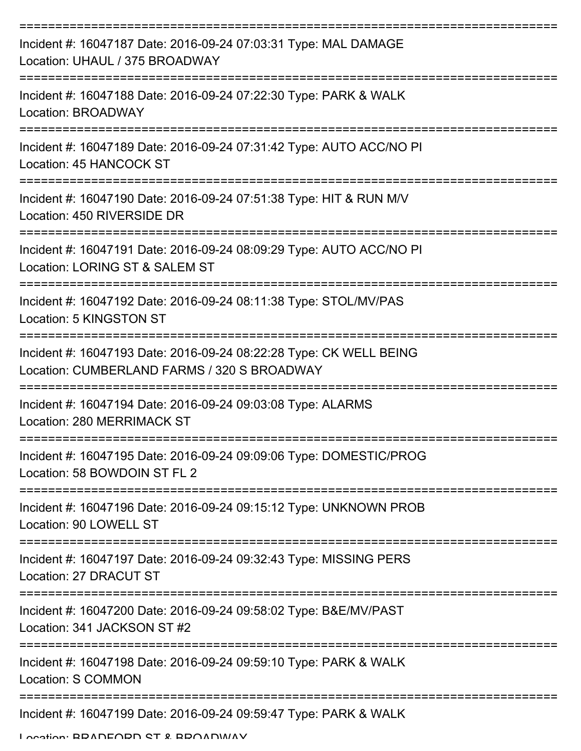| Incident #: 16047187 Date: 2016-09-24 07:03:31 Type: MAL DAMAGE<br>Location: UHAUL / 375 BROADWAY                 |
|-------------------------------------------------------------------------------------------------------------------|
| Incident #: 16047188 Date: 2016-09-24 07:22:30 Type: PARK & WALK<br>Location: BROADWAY                            |
| Incident #: 16047189 Date: 2016-09-24 07:31:42 Type: AUTO ACC/NO PI<br>Location: 45 HANCOCK ST                    |
| Incident #: 16047190 Date: 2016-09-24 07:51:38 Type: HIT & RUN M/V<br>Location: 450 RIVERSIDE DR                  |
| Incident #: 16047191 Date: 2016-09-24 08:09:29 Type: AUTO ACC/NO PI<br>Location: LORING ST & SALEM ST             |
| Incident #: 16047192 Date: 2016-09-24 08:11:38 Type: STOL/MV/PAS<br>Location: 5 KINGSTON ST                       |
| Incident #: 16047193 Date: 2016-09-24 08:22:28 Type: CK WELL BEING<br>Location: CUMBERLAND FARMS / 320 S BROADWAY |
| Incident #: 16047194 Date: 2016-09-24 09:03:08 Type: ALARMS<br>Location: 280 MERRIMACK ST                         |
| Incident #: 16047195 Date: 2016-09-24 09:09:06 Type: DOMESTIC/PROG<br>Location: 58 BOWDOIN ST FL 2                |
| Incident #: 16047196 Date: 2016-09-24 09:15:12 Type: UNKNOWN PROB<br>Location: 90 LOWELL ST                       |
| Incident #: 16047197 Date: 2016-09-24 09:32:43 Type: MISSING PERS<br>Location: 27 DRACUT ST                       |
| Incident #: 16047200 Date: 2016-09-24 09:58:02 Type: B&E/MV/PAST<br>Location: 341 JACKSON ST #2                   |
| Incident #: 16047198 Date: 2016-09-24 09:59:10 Type: PARK & WALK<br>Location: S COMMON                            |
| Incident #: 16047199 Date: 2016-09-24 09:59:47 Type: PARK & WALK                                                  |

Location: BRADFORD ST & BROADWAY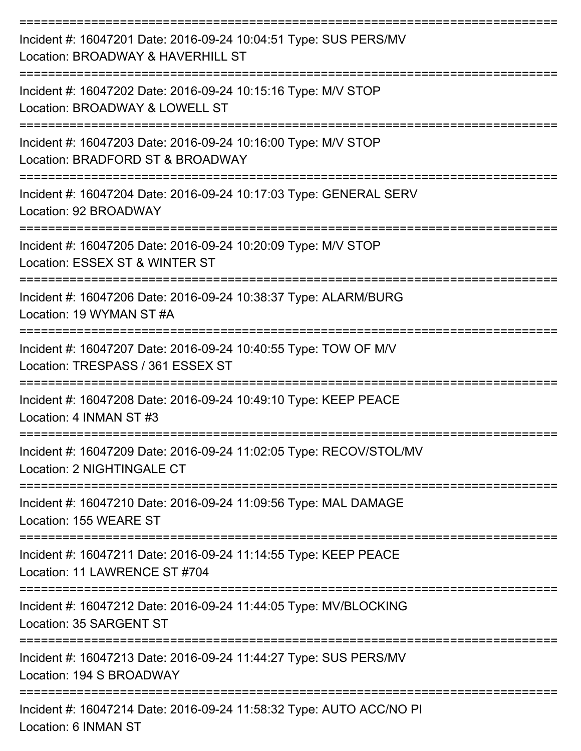| Incident #: 16047201 Date: 2016-09-24 10:04:51 Type: SUS PERS/MV<br>Location: BROADWAY & HAVERHILL ST |
|-------------------------------------------------------------------------------------------------------|
| Incident #: 16047202 Date: 2016-09-24 10:15:16 Type: M/V STOP<br>Location: BROADWAY & LOWELL ST       |
| Incident #: 16047203 Date: 2016-09-24 10:16:00 Type: M/V STOP<br>Location: BRADFORD ST & BROADWAY     |
| Incident #: 16047204 Date: 2016-09-24 10:17:03 Type: GENERAL SERV<br>Location: 92 BROADWAY            |
| Incident #: 16047205 Date: 2016-09-24 10:20:09 Type: M/V STOP<br>Location: ESSEX ST & WINTER ST       |
| Incident #: 16047206 Date: 2016-09-24 10:38:37 Type: ALARM/BURG<br>Location: 19 WYMAN ST #A           |
| Incident #: 16047207 Date: 2016-09-24 10:40:55 Type: TOW OF M/V<br>Location: TRESPASS / 361 ESSEX ST  |
| Incident #: 16047208 Date: 2016-09-24 10:49:10 Type: KEEP PEACE<br>Location: 4 INMAN ST #3            |
| Incident #: 16047209 Date: 2016-09-24 11:02:05 Type: RECOV/STOL/MV<br>Location: 2 NIGHTINGALE CT      |
| Incident #: 16047210 Date: 2016-09-24 11:09:56 Type: MAL DAMAGE<br>Location: 155 WEARE ST             |
| Incident #: 16047211 Date: 2016-09-24 11:14:55 Type: KEEP PEACE<br>Location: 11 LAWRENCE ST #704      |
| Incident #: 16047212 Date: 2016-09-24 11:44:05 Type: MV/BLOCKING<br>Location: 35 SARGENT ST           |
| Incident #: 16047213 Date: 2016-09-24 11:44:27 Type: SUS PERS/MV<br>Location: 194 S BROADWAY          |
| Incident #: 16047214 Date: 2016-09-24 11:58:32 Type: AUTO ACC/NO PI<br>Location: 6 INMAN ST           |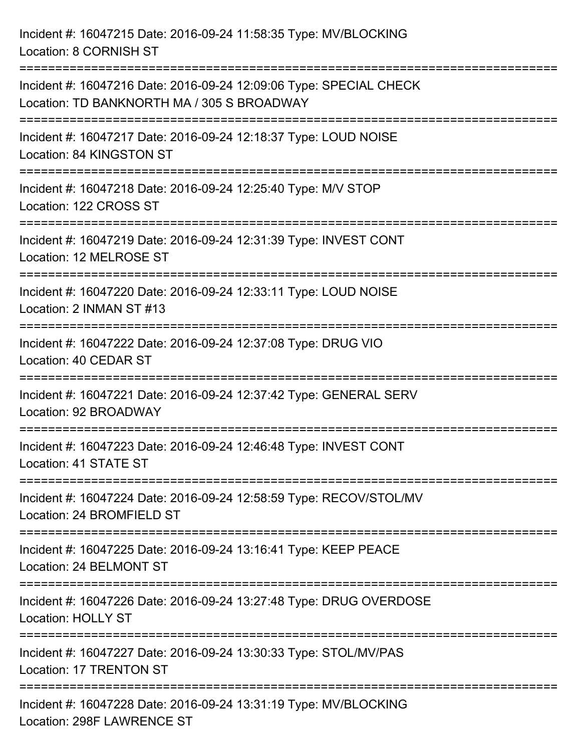| Incident #: 16047215 Date: 2016-09-24 11:58:35 Type: MV/BLOCKING<br>Location: 8 CORNISH ST                       |
|------------------------------------------------------------------------------------------------------------------|
| Incident #: 16047216 Date: 2016-09-24 12:09:06 Type: SPECIAL CHECK<br>Location: TD BANKNORTH MA / 305 S BROADWAY |
| Incident #: 16047217 Date: 2016-09-24 12:18:37 Type: LOUD NOISE<br>Location: 84 KINGSTON ST                      |
| Incident #: 16047218 Date: 2016-09-24 12:25:40 Type: M/V STOP<br>Location: 122 CROSS ST                          |
| Incident #: 16047219 Date: 2016-09-24 12:31:39 Type: INVEST CONT<br>Location: 12 MELROSE ST                      |
| Incident #: 16047220 Date: 2016-09-24 12:33:11 Type: LOUD NOISE<br>Location: 2 INMAN ST #13                      |
| Incident #: 16047222 Date: 2016-09-24 12:37:08 Type: DRUG VIO<br>Location: 40 CEDAR ST                           |
| Incident #: 16047221 Date: 2016-09-24 12:37:42 Type: GENERAL SERV<br>Location: 92 BROADWAY                       |
| Incident #: 16047223 Date: 2016-09-24 12:46:48 Type: INVEST CONT<br>Location: 41 STATE ST                        |
| Incident #: 16047224 Date: 2016-09-24 12:58:59 Type: RECOV/STOL/MV<br>Location: 24 BROMFIELD ST                  |
| Incident #: 16047225 Date: 2016-09-24 13:16:41 Type: KEEP PEACE<br>Location: 24 BELMONT ST                       |
| Incident #: 16047226 Date: 2016-09-24 13:27:48 Type: DRUG OVERDOSE<br><b>Location: HOLLY ST</b>                  |
| Incident #: 16047227 Date: 2016-09-24 13:30:33 Type: STOL/MV/PAS<br>Location: 17 TRENTON ST                      |
| Incident #: 16047228 Date: 2016-09-24 13:31:19 Type: MV/BLOCKING<br>Location: 298F LAWRENCE ST                   |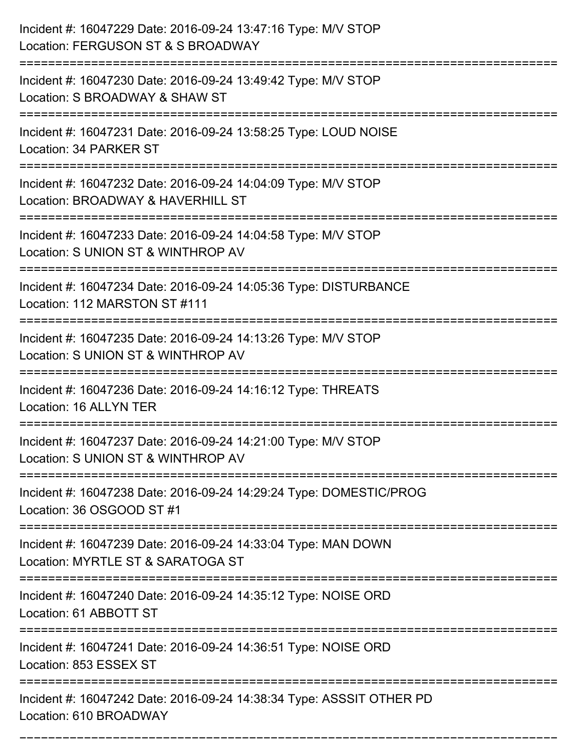| Incident #: 16047229 Date: 2016-09-24 13:47:16 Type: M/V STOP<br>Location: FERGUSON ST & S BROADWAY                           |
|-------------------------------------------------------------------------------------------------------------------------------|
| Incident #: 16047230 Date: 2016-09-24 13:49:42 Type: M/V STOP<br>Location: S BROADWAY & SHAW ST                               |
| Incident #: 16047231 Date: 2016-09-24 13:58:25 Type: LOUD NOISE<br>Location: 34 PARKER ST                                     |
| Incident #: 16047232 Date: 2016-09-24 14:04:09 Type: M/V STOP<br>Location: BROADWAY & HAVERHILL ST                            |
| Incident #: 16047233 Date: 2016-09-24 14:04:58 Type: M/V STOP<br>Location: S UNION ST & WINTHROP AV<br>:===================== |
| Incident #: 16047234 Date: 2016-09-24 14:05:36 Type: DISTURBANCE<br>Location: 112 MARSTON ST #111                             |
| Incident #: 16047235 Date: 2016-09-24 14:13:26 Type: M/V STOP<br>Location: S UNION ST & WINTHROP AV                           |
| Incident #: 16047236 Date: 2016-09-24 14:16:12 Type: THREATS<br>Location: 16 ALLYN TER                                        |
| Incident #: 16047237 Date: 2016-09-24 14:21:00 Type: M/V STOP<br>Location: S UNION ST & WINTHROP AV                           |
| Incident #: 16047238 Date: 2016-09-24 14:29:24 Type: DOMESTIC/PROG<br>Location: 36 OSGOOD ST #1                               |
| Incident #: 16047239 Date: 2016-09-24 14:33:04 Type: MAN DOWN<br>Location: MYRTLE ST & SARATOGA ST                            |
| Incident #: 16047240 Date: 2016-09-24 14:35:12 Type: NOISE ORD<br>Location: 61 ABBOTT ST                                      |
| Incident #: 16047241 Date: 2016-09-24 14:36:51 Type: NOISE ORD<br>Location: 853 ESSEX ST                                      |
| Incident #: 16047242 Date: 2016-09-24 14:38:34 Type: ASSSIT OTHER PD<br>Location: 610 BROADWAY                                |

===========================================================================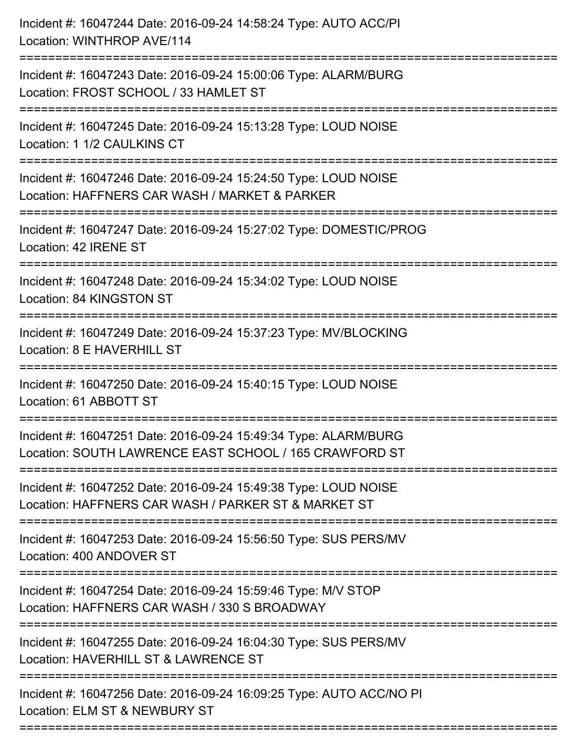| Incident #: 16047244 Date: 2016-09-24 14:58:24 Type: AUTO ACC/PI<br>Location: WINTHROP AVE/114                               |
|------------------------------------------------------------------------------------------------------------------------------|
| Incident #: 16047243 Date: 2016-09-24 15:00:06 Type: ALARM/BURG<br>Location: FROST SCHOOL / 33 HAMLET ST                     |
| Incident #: 16047245 Date: 2016-09-24 15:13:28 Type: LOUD NOISE<br>Location: 1 1/2 CAULKINS CT<br>========================== |
| Incident #: 16047246 Date: 2016-09-24 15:24:50 Type: LOUD NOISE<br>Location: HAFFNERS CAR WASH / MARKET & PARKER             |
| Incident #: 16047247 Date: 2016-09-24 15:27:02 Type: DOMESTIC/PROG<br>Location: 42 IRENE ST<br>============================= |
| Incident #: 16047248 Date: 2016-09-24 15:34:02 Type: LOUD NOISE<br>Location: 84 KINGSTON ST                                  |
| Incident #: 16047249 Date: 2016-09-24 15:37:23 Type: MV/BLOCKING<br>Location: 8 E HAVERHILL ST                               |
| Incident #: 16047250 Date: 2016-09-24 15:40:15 Type: LOUD NOISE<br>Location: 61 ABBOTT ST                                    |
| Incident #: 16047251 Date: 2016-09-24 15:49:34 Type: ALARM/BURG<br>Location: SOUTH LAWRENCE EAST SCHOOL / 165 CRAWFORD ST    |
| Incident #: 16047252 Date: 2016-09-24 15:49:38 Type: LOUD NOISE<br>Location: HAFFNERS CAR WASH / PARKER ST & MARKET ST       |
| Incident #: 16047253 Date: 2016-09-24 15:56:50 Type: SUS PERS/MV<br>Location: 400 ANDOVER ST                                 |
| Incident #: 16047254 Date: 2016-09-24 15:59:46 Type: M/V STOP<br>Location: HAFFNERS CAR WASH / 330 S BROADWAY                |
| Incident #: 16047255 Date: 2016-09-24 16:04:30 Type: SUS PERS/MV<br>Location: HAVERHILL ST & LAWRENCE ST                     |
| Incident #: 16047256 Date: 2016-09-24 16:09:25 Type: AUTO ACC/NO PI<br>Location: ELM ST & NEWBURY ST                         |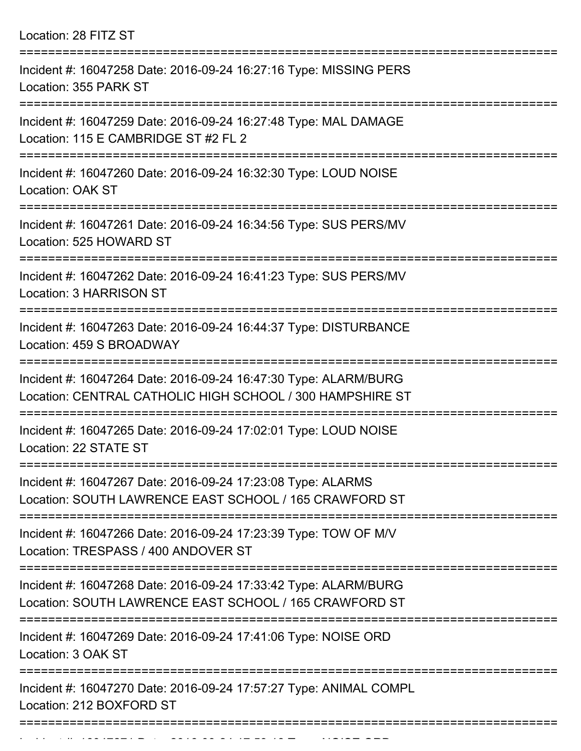Location: 28 FITZ ST

| Incident #: 16047258 Date: 2016-09-24 16:27:16 Type: MISSING PERS<br>Location: 355 PARK ST                                   |
|------------------------------------------------------------------------------------------------------------------------------|
| Incident #: 16047259 Date: 2016-09-24 16:27:48 Type: MAL DAMAGE<br>Location: 115 E CAMBRIDGE ST #2 FL 2                      |
| Incident #: 16047260 Date: 2016-09-24 16:32:30 Type: LOUD NOISE<br>Location: OAK ST                                          |
| Incident #: 16047261 Date: 2016-09-24 16:34:56 Type: SUS PERS/MV<br>Location: 525 HOWARD ST                                  |
| Incident #: 16047262 Date: 2016-09-24 16:41:23 Type: SUS PERS/MV<br>Location: 3 HARRISON ST                                  |
| Incident #: 16047263 Date: 2016-09-24 16:44:37 Type: DISTURBANCE<br>Location: 459 S BROADWAY                                 |
| Incident #: 16047264 Date: 2016-09-24 16:47:30 Type: ALARM/BURG<br>Location: CENTRAL CATHOLIC HIGH SCHOOL / 300 HAMPSHIRE ST |
| Incident #: 16047265 Date: 2016-09-24 17:02:01 Type: LOUD NOISE<br>Location: 22 STATE ST                                     |
| Incident #: 16047267 Date: 2016-09-24 17:23:08 Type: ALARMS<br>Location: SOUTH LAWRENCE EAST SCHOOL / 165 CRAWFORD ST        |
| Incident #: 16047266 Date: 2016-09-24 17:23:39 Type: TOW OF M/V<br>Location: TRESPASS / 400 ANDOVER ST                       |
| Incident #: 16047268 Date: 2016-09-24 17:33:42 Type: ALARM/BURG<br>Location: SOUTH LAWRENCE EAST SCHOOL / 165 CRAWFORD ST    |
| Incident #: 16047269 Date: 2016-09-24 17:41:06 Type: NOISE ORD<br>Location: 3 OAK ST                                         |
| Incident #: 16047270 Date: 2016-09-24 17:57:27 Type: ANIMAL COMPL<br>Location: 212 BOXFORD ST                                |
|                                                                                                                              |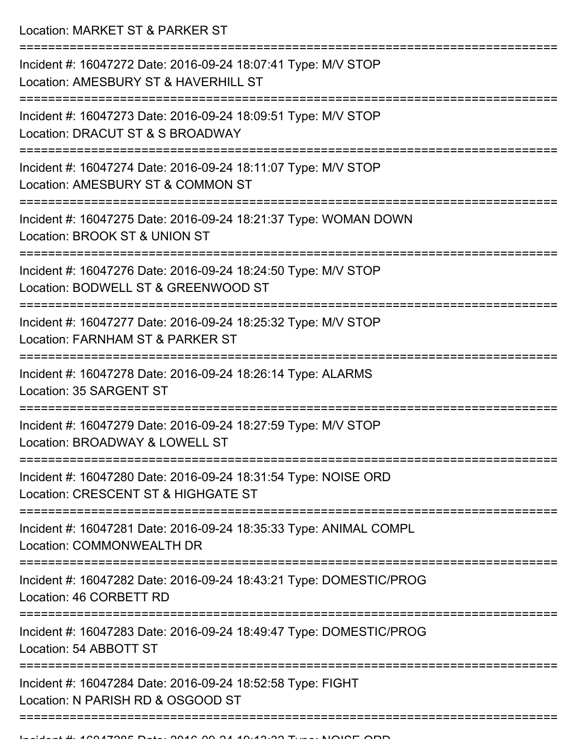Location: MARKET ST & PARKER ST

| Incident #: 16047272 Date: 2016-09-24 18:07:41 Type: M/V STOP<br>Location: AMESBURY ST & HAVERHILL ST |
|-------------------------------------------------------------------------------------------------------|
| Incident #: 16047273 Date: 2016-09-24 18:09:51 Type: M/V STOP<br>Location: DRACUT ST & S BROADWAY     |
| Incident #: 16047274 Date: 2016-09-24 18:11:07 Type: M/V STOP<br>Location: AMESBURY ST & COMMON ST    |
| Incident #: 16047275 Date: 2016-09-24 18:21:37 Type: WOMAN DOWN<br>Location: BROOK ST & UNION ST      |
| Incident #: 16047276 Date: 2016-09-24 18:24:50 Type: M/V STOP<br>Location: BODWELL ST & GREENWOOD ST  |
| Incident #: 16047277 Date: 2016-09-24 18:25:32 Type: M/V STOP<br>Location: FARNHAM ST & PARKER ST     |
| Incident #: 16047278 Date: 2016-09-24 18:26:14 Type: ALARMS<br>Location: 35 SARGENT ST                |
| Incident #: 16047279 Date: 2016-09-24 18:27:59 Type: M/V STOP<br>Location: BROADWAY & LOWELL ST       |
| Incident #: 16047280 Date: 2016-09-24 18:31:54 Type: NOISE ORD<br>Location: CRESCENT ST & HIGHGATE ST |
| Incident #: 16047281 Date: 2016-09-24 18:35:33 Type: ANIMAL COMPL<br>Location: COMMONWEALTH DR        |
| Incident #: 16047282 Date: 2016-09-24 18:43:21 Type: DOMESTIC/PROG<br>Location: 46 CORBETT RD         |
| Incident #: 16047283 Date: 2016-09-24 18:49:47 Type: DOMESTIC/PROG<br>Location: 54 ABBOTT ST          |
| Incident #: 16047284 Date: 2016-09-24 18:52:58 Type: FIGHT<br>Location: N PARISH RD & OSGOOD ST       |
|                                                                                                       |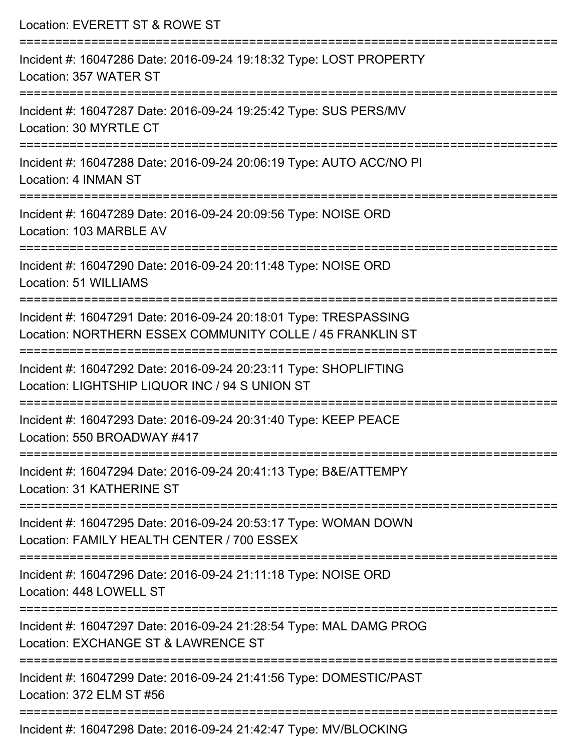| Location: EVERETT ST & ROWE ST                                                                                                |
|-------------------------------------------------------------------------------------------------------------------------------|
| Incident #: 16047286 Date: 2016-09-24 19:18:32 Type: LOST PROPERTY<br>Location: 357 WATER ST                                  |
| Incident #: 16047287 Date: 2016-09-24 19:25:42 Type: SUS PERS/MV<br>Location: 30 MYRTLE CT                                    |
| Incident #: 16047288 Date: 2016-09-24 20:06:19 Type: AUTO ACC/NO PI<br>Location: 4 INMAN ST<br>============================   |
| Incident #: 16047289 Date: 2016-09-24 20:09:56 Type: NOISE ORD<br>Location: 103 MARBLE AV                                     |
| Incident #: 16047290 Date: 2016-09-24 20:11:48 Type: NOISE ORD<br>Location: 51 WILLIAMS                                       |
| Incident #: 16047291 Date: 2016-09-24 20:18:01 Type: TRESPASSING<br>Location: NORTHERN ESSEX COMMUNITY COLLE / 45 FRANKLIN ST |
| Incident #: 16047292 Date: 2016-09-24 20:23:11 Type: SHOPLIFTING<br>Location: LIGHTSHIP LIQUOR INC / 94 S UNION ST            |
| Incident #: 16047293 Date: 2016-09-24 20:31:40 Type: KEEP PEACE<br>Location: 550 BROADWAY #417                                |
| Incident #: 16047294 Date: 2016-09-24 20:41:13 Type: B&E/ATTEMPY<br>Location: 31 KATHERINE ST                                 |
| Incident #: 16047295 Date: 2016-09-24 20:53:17 Type: WOMAN DOWN<br>Location: FAMILY HEALTH CENTER / 700 ESSEX                 |
| Incident #: 16047296 Date: 2016-09-24 21:11:18 Type: NOISE ORD<br>Location: 448 LOWELL ST                                     |
| Incident #: 16047297 Date: 2016-09-24 21:28:54 Type: MAL DAMG PROG<br>Location: EXCHANGE ST & LAWRENCE ST                     |
| Incident #: 16047299 Date: 2016-09-24 21:41:56 Type: DOMESTIC/PAST<br>Location: 372 ELM ST #56                                |
| Incident #: 16047298 Date: 2016-09-24 21:42:47 Type: MV/BLOCKING                                                              |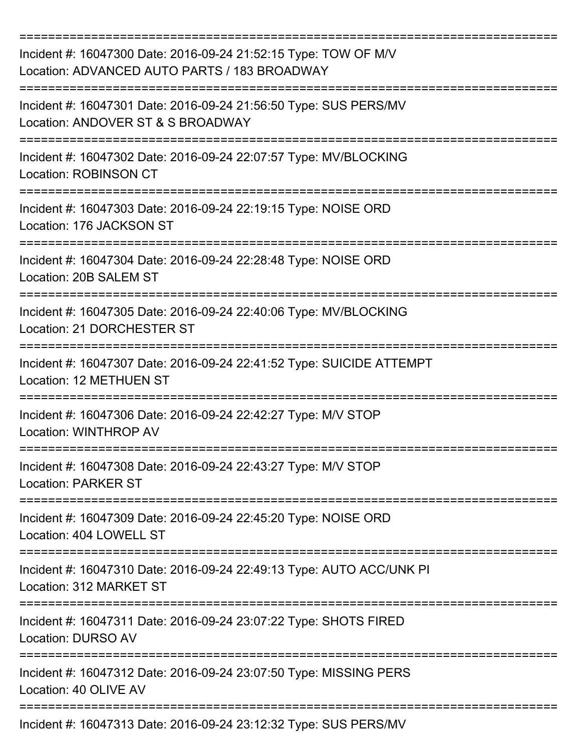| Incident #: 16047300 Date: 2016-09-24 21:52:15 Type: TOW OF M/V<br>Location: ADVANCED AUTO PARTS / 183 BROADWAY             |
|-----------------------------------------------------------------------------------------------------------------------------|
| Incident #: 16047301 Date: 2016-09-24 21:56:50 Type: SUS PERS/MV<br>Location: ANDOVER ST & S BROADWAY                       |
| Incident #: 16047302 Date: 2016-09-24 22:07:57 Type: MV/BLOCKING<br><b>Location: ROBINSON CT</b>                            |
| Incident #: 16047303 Date: 2016-09-24 22:19:15 Type: NOISE ORD<br>Location: 176 JACKSON ST                                  |
| Incident #: 16047304 Date: 2016-09-24 22:28:48 Type: NOISE ORD<br>Location: 20B SALEM ST                                    |
| Incident #: 16047305 Date: 2016-09-24 22:40:06 Type: MV/BLOCKING<br><b>Location: 21 DORCHESTER ST</b>                       |
| Incident #: 16047307 Date: 2016-09-24 22:41:52 Type: SUICIDE ATTEMPT<br>Location: 12 METHUEN ST                             |
| Incident #: 16047306 Date: 2016-09-24 22:42:27 Type: M/V STOP<br><b>Location: WINTHROP AV</b>                               |
| ----------------------------<br>Incident #: 16047308 Date: 2016-09-24 22:43:27 Type: M/V STOP<br><b>Location: PARKER ST</b> |
| Incident #: 16047309 Date: 2016-09-24 22:45:20 Type: NOISE ORD<br>Location: 404 LOWELL ST                                   |
| Incident #: 16047310 Date: 2016-09-24 22:49:13 Type: AUTO ACC/UNK PI<br>Location: 312 MARKET ST                             |
| Incident #: 16047311 Date: 2016-09-24 23:07:22 Type: SHOTS FIRED<br><b>Location: DURSO AV</b>                               |
| Incident #: 16047312 Date: 2016-09-24 23:07:50 Type: MISSING PERS<br>Location: 40 OLIVE AV                                  |
| Incident #: 16047313 Date: 2016-09-24 23:12:32 Type: SUS PERS/MV                                                            |